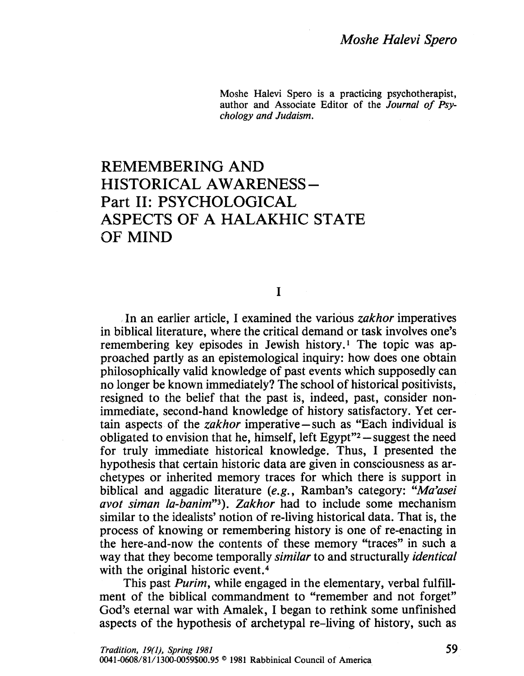Moshe Halevi Spero is a practicing psychotherapist, author and Associate Editor of the Journal of Psychology and Judaism.

## REMEMBERING AND HISTORICAL AWARENESS-Part II: PSYCHOLOGICAL ASPECTS OF A HALAKHIC STATE OF MIND

I

In an earlier article, I examined the various *zakhor* imperatives in biblical literature, where the critical demand or task involves one's remembering key episodes in Jewish history.! The topic was approached partly as an epistemological inquiry: how does one obtain philosophically valid knowledge of past events which supposedly can no longer be known immediately? The school of historical positivists, resigned to the belief that the past is, indeed, past, consider nonimmediate, second-hand knowledge of history satisfactory. Yet certain aspects of the zakhor imperative-such as "Each individual is obligated to envision that he, himself, left Egypt $"2$  -suggest the need for truly immediate historical knowledge. Thus, I presented the hypothesis that certain historic data are given in consciousness as archetypes or inherited memory traces for which there is support in biblical and aggadic literature (e.g., Ramban's category: "Ma'asei avot siman la-banim"3). Zakhor had to include some mechanism similar to the idealists' notion of re-living historical data. That is, the process of knowing or remembering history is one of re-enacting in the here-and-now the contents of these memory "traces" in such a way that they become temporally *similar* to and structurally *identical* with the original historic event.<sup>4</sup>

This past *Purim*, while engaged in the elementary, verbal fulfillment of the biblical commandment to "remember and not forget" God's eternal war with Amalek, I began to rethink some unfinished aspects of the hypothesis of archetypal re-living of history, such as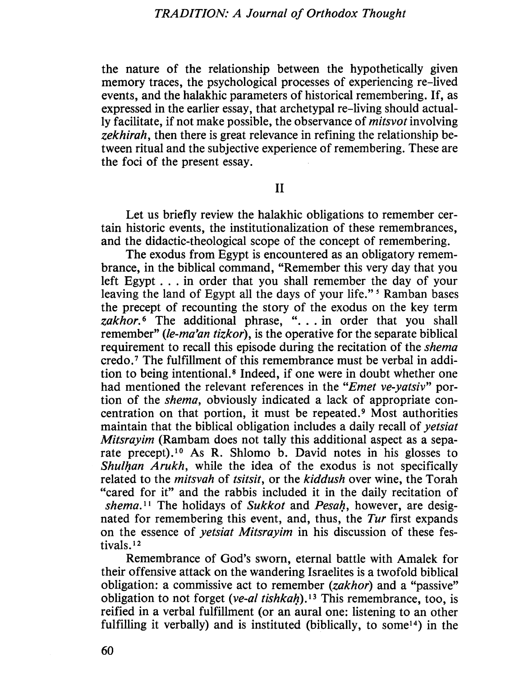the nature of the relationship between the hypothetically given memory traces, the psychological processes of experiencing re-lived events, and the halakhic parameters of historical remembering. If, as expressed in the earlier essay, that archetypal re-living should actually facilitate, if not make possible, the observance of mitsvot involving zekhirah, then there is great relevance in refining the relationship between ritual and the subjective experience of remembering, These are the foci of the present essay.

II

Let us briefly review the halakhic obligations to remember certain historic events, the institutionalization of these remembrances, and the didactic-theological scope of the concept of remembering.

The exodus from Egypt is encountered as an obligatory remembrance, in the biblical command, "Remember this very day that you left Egypt . , . in order that you shall remember the day of your leaving the land of Egypt all the days of your life."<sup>5</sup> Ramban bases the precept of recounting the story of the exodus on the key term  $zakhor.$ <sup>6</sup> The additional phrase, " $\ldots$  in order that you shall remember" (le-ma'an tizkor), is the operative for the separate biblical requirement to recall this episode during the recitation of the *shema* credo,7 The fulfilment of this remembrance must be verbal in addition to being intentionaL. 8 Indeed, if one were in doubt whether one had mentioned the relevant references in the "Emet ve-yatsiv" portion of the shema, obviously indicated a lack of appropriate concentration on that portion, it must be repeated.9 Most authorities maintain that the biblical obligation includes a daily recall of yetsiat Mitsrayim (Rambam does not tally this additional aspect as a separate precept).<sup>10</sup> As R. Shlomo b. David notes in his glosses to Shulhan Arukh, while the idea of the exodus is not specifically related to the *mitsvah* of *tsitsit*, or the *kiddush* over wine, the Torah "cared for it" and the rabbis included it in the daily recitation of shema.<sup>11</sup> The holidays of Sukkot and Pesah, however, are designated for remembering this event, and, thus, the Tur first expands on the essence of yetsiat Mitsrayim in his discussion of these festivals.<sup>12</sup>

Remembrance of God's sworn, eternal battle with Amalek for their offensive attack on the wandering Israelites is a twofold biblical obligation: a commissive act to remember (zakhor) and a "passive" obligation to not forget (ve-al tishkah).<sup>13</sup> This remembrance, too, is reified in a verbal fulfilment (or an aural one: listening to an other fulfilling it verbally) and is instituted (biblically, to some<sup>14</sup>) in the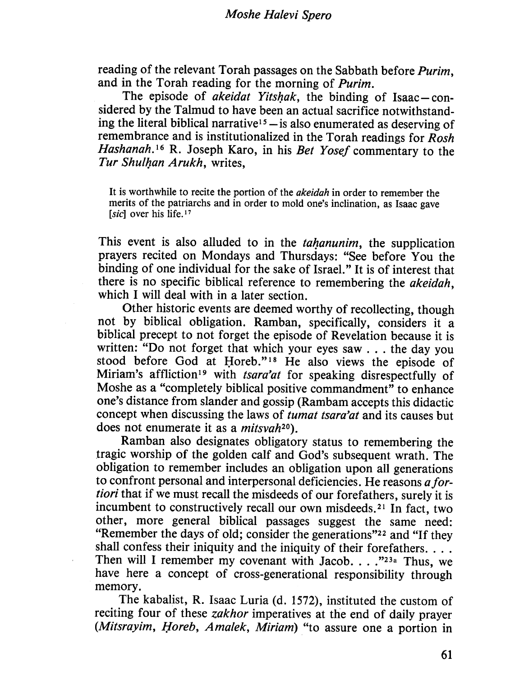reading of the relevant Torah passages on the Sabbath before Purim, and in the Torah reading for the morning of Purim.

The episode of *akeidat Yitshak*, the binding of Isaac-considered by the Talmud to have been an actual sacrifice notwithstanding the literal biblical narrative<sup>15</sup> - is also enumerated as deserving of remembrance and is institutionalized in the Torah readings for Rosh Hashanah.<sup>16</sup> R. Joseph Karo, in his Bet Yosef commentary to the Tur Shulhan Arukh, writes,

It is worthwhile to recite the portion of the akeidah in order to remember the merits of the patriarchs and in order to mold one's inclination, as Isaac gave [sic] over his life. $17$ 

This event is also alluded to in the tahanunim, the supplication prayers recited on Mondays and Thursdays: "See before You the binding of one individual for the sake of IsraeL." It is of interest that there is no specific biblical reference to remembering the akeidah, which I will deal with in a later section.

Other historic events are deemed worthy of recollecting, though not by biblical obligation, Ramban, specifically, considers it a biblical precept to not forget the episode of Revelation because it is written: "Do not forget that which your eyes saw... the day you stood before God at Horeb."<sup>18</sup> He also views the episode of Miriam's affliction<sup>19</sup> with *tsara'at* for speaking disrespectfully of Moshe as a "completely biblical positive commandment" to enhance one's distance from slander and gossip (Rambam accepts this didactic concept when discussing the laws of tumat tsara'at and its causes but does not enumerate it as a *mitsvah*<sup>20</sup>).

Ramban also designates obligatory status to remembering the tragic worship of the golden calf and God's subsequent wrath. The obligation to remember includes an obligation upon all generations to confront personal and interpersonal deficiencies. He reasons  $a$  fortiori that if we must recall the misdeeds of our forefathers, surely it is incumbent to constructively recall our own misdeeds.21 In fact, two other, more general biblical passages suggest the same need: "Remember the days of old; consider the generations"22 and "If they shall confess their iniquity and the iniquity of their forefathers. . . . Then will I remember my covenant with Jacob. . .  $\cdot$ <sup>23<sub>a</sub> Thus, we</sup> have here a concept of cross-generational responsibilty through memory.

The kabalist, R. Isaac Luria (d. 1572), instituted the custom of reciting four of these *zakhor* imperatives at the end of daily prayer (Mitsrayim, Horeb, Amalek, Miriam) "to assure one a portion in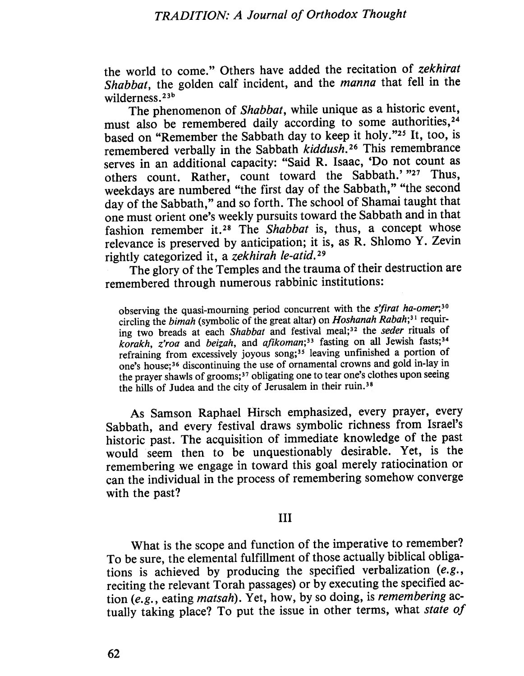## TRADITION: A Journal of Orthodox Thought

the world to come." Others have added the recitation of zekhirat Shabbat, the golden calf incident, and the *manna* that fell in the wilderness.<sup>23b</sup>

The phenomenon of Shabbat, while unique as a historic event, must also be remembered daily according to some authorities,<sup>24</sup> based on "Remember the Sabbath day to keep it holy."25 It, too, is remembered verbally in the Sabbath kiddush.<sup>26</sup> This remembrance serves in an additional capacity: "Said R, Isaac, 'Do not count as others count. Rather, count toward the Sabbath.' "27 Thus, weekdays are numbered "the first day of the Sabbath," "the second day of the Sabbath," and so forth. The school of Shamai taught that one must orient one's weekly pursuits toward the Sabbath and in that fashion remember it.<sup>28</sup> The Shabbat is, thus, a concept whose relevance is preserved by anticipation; it is, as R. Shlomo  $Y$ . Zevin rightly categorized it, a zekhirah le-atid,29

The glory of the Temples and the trauma of their destruction are remembered through numerous rabbinic institutions:

observing the quasi-mourning period concurrent with the  $s$ 'firat ha-omer;<sup>30</sup> circling the bimah (symbolic of the great altar) on Hoshanah Rabah;<sup>31</sup> requiring two breads at each Shabbat and festival meal;<sup>32</sup> the seder rituals of korakh, z'roa and beizah, and afikoman;<sup>33</sup> fasting on all Jewish fasts;<sup>34</sup> refraining from excessively joyous song;<sup>35</sup> leaving unfinished a portion of one's house;36 discontinuing the use of ornamental crowns and gold in-lay in the prayer shawls of grooms; 37 obligating one to tear one's clothes upon seeing the hills of Judea and the city of Jerusalem in their ruin.<sup>38</sup>

As Samson Raphael Hirsch emphasized, every prayer, every Sabbath, and every festival draws symbolic richness from Israel's historic past. The acquisition of immediate knowledge of the past would seem then to be unquestionably desirable. Yet, is the remembering we engage in toward this goal merely ratiocination or can the individual in the process of remembering somehow converge with the past?

## II

What is the scope and function of the imperative to remember? To be sure, the elemental fulfilment of those actually biblical obligations is achieved by producing the specified verbalization  $(e.g.,$ reciting the relevant Torah passages) or by executing the specified action (e.g., eating matsah). Yet, how, by so doing, is remembering actually taking place? To put the issue in other terms, what state of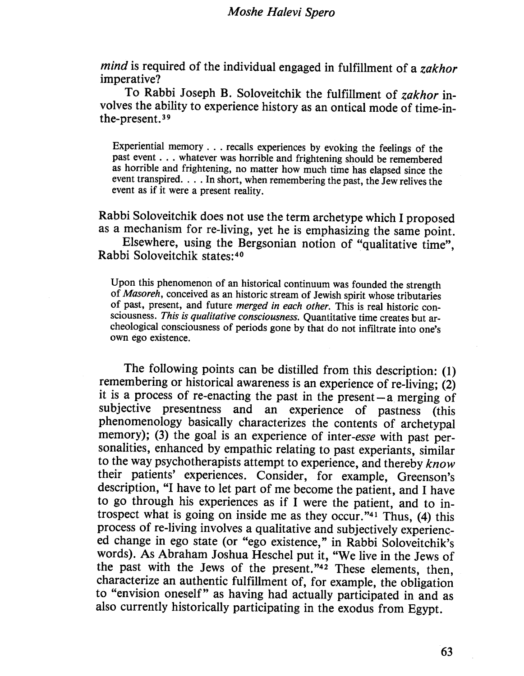mind is required of the individual engaged in fulfillment of a zakhor imperative?

To Rabbi Joseph B. Soloveitchik the fulfilment of zakhor involves the ability to experience history as an ontical mode of time-inthe-present. 39

Experiential memory . . . recalls experiences by evoking the feelings of the past event . . . whatever was horrible and frightening should be remembered as horrible and frightening, no matter how much time has elapsed since the event transpired. . . . In short, when remembering the past, the Jew relives the event as if it were a present reality.

Rabbi Soloveitchik does not use the term archetype which I proposed as a mechanism for re-living, yet he is emphasizing the same point.

Elsewhere, using the Bergsonian notion of "qualitative time", Rabbi Soloveitchik states:40

Upon this phenomenon of an historical continuum was founded the strength of Masoreh, conceived as an historic stream of Jewish spirit whose tributaries of past, present, and future merged in each other. This is real historic consciousness. This is qualitative consciousness. Quantitative time creates but archeological consciousness of periods gone by that do not infitrate into one's own ego existence.

The following points can be distiled from this description: (1) remembering or historical awareness is an experience of re-living; (2) it is a process of re-enacting the past in the present  $-a$  merging of subjective presentness and an experience of pastness (this phenomenology basically characterizes the contents of archetypal memory); (3) the goal is an experience of inter-esse with past personalities, enhanced by empathic relating to past experiants, similar to the way psychotherapists attempt to experience, and thereby know their patients' experiences, Consider, for example, Greenson's description, "I have to let part of me become the patient, and I have to go through his experiences as if I were the patient, and to introspect what is going on inside me as they occur." $41$  Thus, (4) this process of re-living involves a qualitative and subjectively experienced change in ego state (or "ego existence," in Rabbi Soloveitchik's words). As Abraham Joshua Heschel put it, "We live in the Jews of the past with the Jews of the present."<sup>42</sup> These elements, then, characterize an authentic fulfilment of, for example, the obligation to "envision oneself" as having had actually participated in and as also currently historically participating in the exodus from Egypt.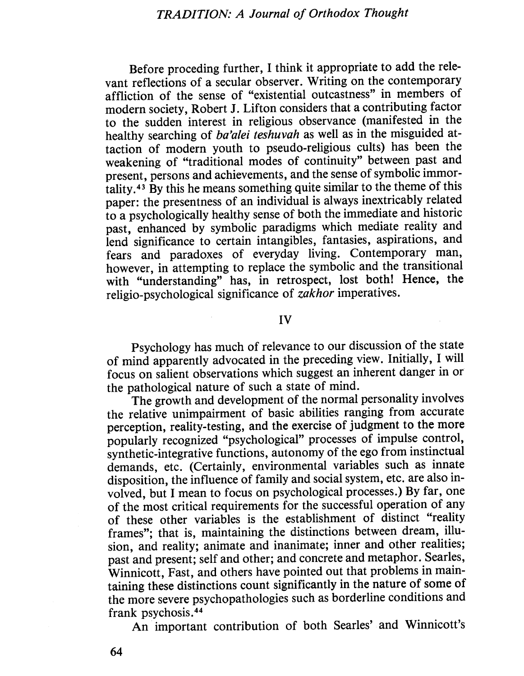Before proceding further, I think it appropriate to add the relevant reflections of a secular observer. Writing on the contemporary affliction of the sense of "existential outcastness" in members of modern society, Robert J, Lifton considers that a contributing factor to the sudden interest in religious observance (manifested in the healthy searching of ba'alei teshuvah as well as in the misguided attaction of modern youth to pseudo-religious cults) has been the weakening of "traditional modes of continuity" between past and present, persons and achievements, and the sense of symbolic immortality.43 By this he means something quite similar to the theme of this paper: the presentness of an individual is always inextricably related to a psychologically healthy sense of both the immediate and historic past, enhanced by symbolic paradigms which mediate reality and lend significance to certain intangibles, fantasies, aspirations, and fears and paradoxes of everyday living, Contemporary man, however, in attempting to replace the symbolic and the transitional with "understanding" has, in retrospect, lost both! Hence, the religio-psychological significance of *zakhor* imperatives.

iv

Psychology has much of relevance to our discussion of the state of mind apparently advocated in the preceding view, Initially, I wil focus on salient observations which suggest an inherent danger in or the pathological nature of such a state of mind.

The growth and development of the normal personality involves the relative unimpairment of basic abilties ranging from accurate perception, reality-testing, and the exercise of judgment to the more popularly recognized "psychological" processes of impulse control, synthetic-integrative functions, autonomy of the ego from instinctual demands, etc, (Certainly, environmental variables such as innate disposition, the influence of family and social system, etc, are also involved, but I mean to focus on psychological processes.) By far, one of the most critical requirements for the successful operation of any of these other variables is the establishment of distinct "reality frames"; that is, maintaining the distinctions between dream, ilusion, and reality; animate and inanimate; inner and other realities; past and present; self and other; and concrete and metaphor. Searles, Winnicott, Fast, and others have pointed out that problems in maintaining these distinctions count significantly in the nature of some of the more severe psychopathologies such as borderline conditions and frank psychosis, 44

An important contribution of both Searles' and Winnicott's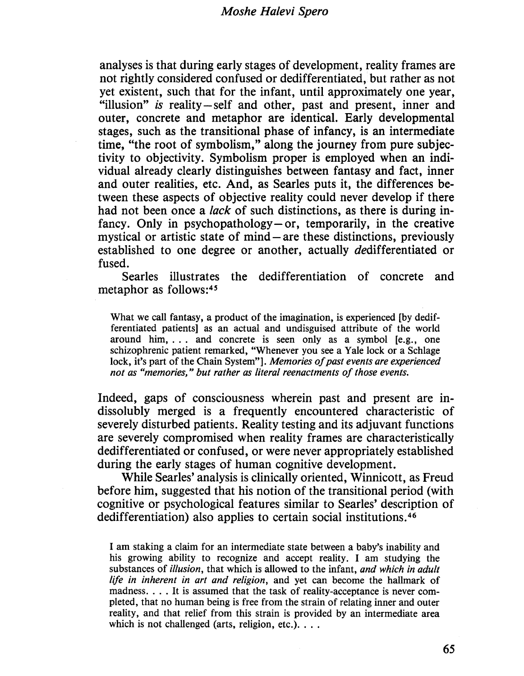analyses is that during early stages of development, reality frames are not rightly considered confused or dedifferentiated, but rather as not yet existent, such that for the infant, until approximately one year, "illusion" is reality-self and other, past and present, inner and outer, concrete and metaphor are identical. Early developmental stages, such as the transitional phase of infancy, is an intermediate time, "the root of symbolism," along the journey from pure subjectivity to objectivity. Symbolism proper is employed when an individual already clearly distinguishes between fantasy and fact, inner and outer realities, etc, And, as Searles puts it, the differences between these aspects of objective reality could never develop if there had not been once a *lack* of such distinctions, as there is during infancy. Only in psychopathology  $-$  or, temporarily, in the creative mystical or artistic state of mind – are these distinctions, previously established to one degree or another, actually dedifferentiated or fused.

Searles ilustrates the dedifferentiation of concrete and metaphor as follows:45

What we call fantasy, a product of the imagination, is experienced (by dedifferentiated patients) as an actual and undisguised attribute of the world around him,... and concrete is seen only as a symbol (e.g., one schizophrenic patient remarked, "Whenever you see a Yale lock or a Schlage lock, it's part of the Chain System"]. *Memories of past events are experienced* not as "memories, " but rather as literal reenactments of those events.

Indeed, gaps of consciousness wherein past and present are indissolubly merged is a frequently encountered characteristic of severely disturbed patients. Reality testing and its adjuvant functions are severely compromised when reality frames are characteristically dedifferentiated or confused, or were never appropriately established during the early stages of human cognitive development.

While Searles' analysis is clinically oriented, Winnicott, as Freud before him, suggested that his notion of the transitional period (with cognitive or psychological features similar to Searles' description of dedifferentiation) also applies to certain social institutions.46

I am staking a claim for an intermediate state between a baby's inability and his growing abilty to recognize and accept reality. I am studying the substances of *illusion*, that which is allowed to the infant, and which in adult life in inherent in art and religion, and yet can become the hallmark of madness. . . . It is assumed that the task of reality-acceptance is never completed, that no human being is free from the strain of relating inner and outer reality, and that relief from this strain is provided by an intermediate area which is not challenged (arts, religion, etc.). . . .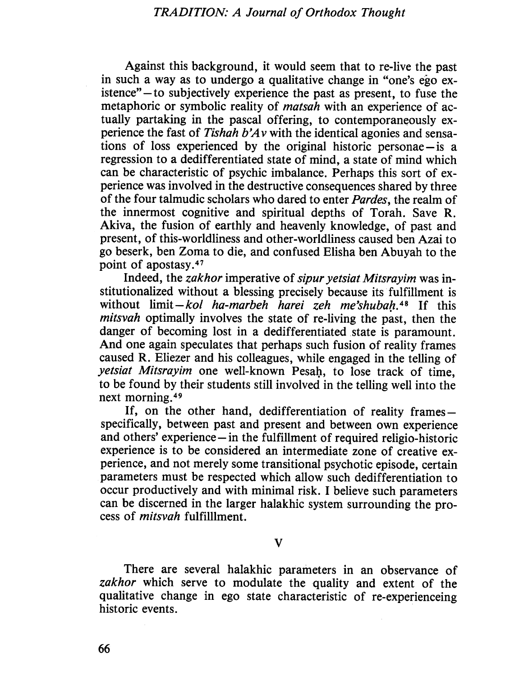Against this background, it would seem that to re-live the past in such a way as to undergo a qualitative change in "one's ego existence" - to subjectively experience the past as present, to fuse the metaphoric or symbolic reality of *matsah* with an experience of actually partaking in the pascal offering, to contemporaneously experience the fast of Tishah  $b'Av$  with the identical agonies and sensations of loss experienced by the original historic personae- is a regression to a dedifferentiated state of mind, a state of mind which can be characteristic of psychic imbalance, Perhaps this sort of experience was involved in the destructive consequences shared by three of the four talmudic scholars who dared to enter *Pardes*, the realm of the innermost cognitive and spiritual depths of Torah. Save R. Akiva, the fusion of earthly and heavenly knowledge, of past and present, of this-worldliness and other-worldliness caused ben Azai to go beserk, ben Zoma to die, and confused Elisha ben Abuyah to the point of apostasy. $47$ 

Indeed, the zakhor imperative of sipur yetsiat Mitsrayim was institutionalized without a blessing precisely because its fulfilment is without limit-kol ha-marbeh harei zeh me'shubah, $48$  If this mitsvah optimally involves the state of re-living the past, then the danger of becoming lost in a dedifferentiated state is paramount. And one again speculates that perhaps such fusion of reality frames caused R, Eliezer and his colleagues, while engaged in the tellng of yetsiat Mitsrayim one well-known Pesah, to lose track of time, to be found by their students stil involved in the tellng well into the next morning.49

If, on the other hand, dedifferentiation of reality framesspecifically, between past and present and between own experience and others' experience  $-\text{in}$  the fulfillment of required religio-historic experience is to be considered an intermediate zone of creative experience, and not merely some transitional psychotic episode, certain parameters must be respected which allow such dedifferentiation to occur productively and with minimal risk, I believe such parameters can be discerned in the larger halakhic system surrounding the process of *mitsvah* fulfillment.

v

There are several halakhic parameters in an observance of zakhor which serve to modulate the quality and extent of the qualitative change in ego state characteristic of re-experienceing historic events.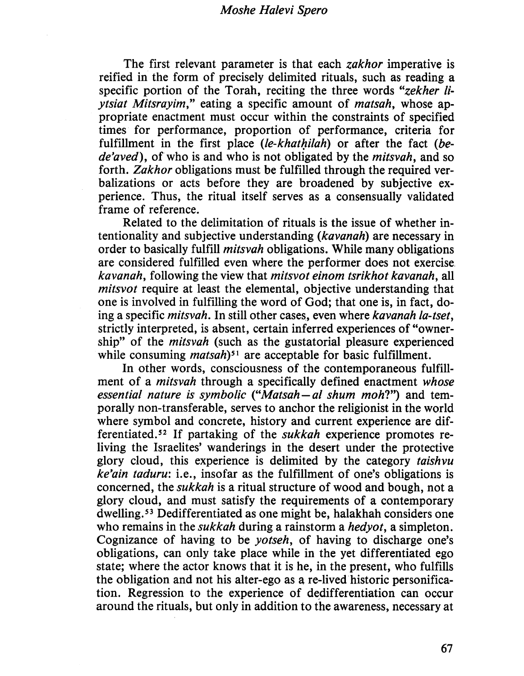The first relevant parameter is that each *zakhor* imperative is reifed in the form of precisely delimited rituals, such as reading a specific portion of the Torah, reciting the three words "zekher liytsiat Mitsrayim," eating a specific amount of matsah, whose appropriate enactment must occur within the constraints of specified times for performance, proportion of performance, criteria for fulfillment in the first place  $(le-khathilah)$  or after the fact  $(be$ de'aved), of who is and who is not obligated by the *mitsvah*, and so forth. Zakhor obligations must be fulfiled through the required verbalizations or acts before they are broadened by subjective experience. Thus, the ritual itself serves as a consensually validated frame of reference.

Related to the delimitation of rituals is the issue of whether intentionality and subjective understanding (kavanah) are necessary in order to basically fulfill *mitsvah* obligations. While many obligations are considered fulfiled even where the performer does not exercise. kavanah, following the view that mitsvot einom tsrikhot kavanah, all mitsvot require at least the elemental, objective understanding that one is involved in fulfiling the word of God; that one is, in fact, doing a specific *mitsvah*. In still other cases, even where *kavanah la-tset*, strictly interpreted, is absent, certain inferred experiences of "ownership" of the *mitsvah* (such as the gustatorial pleasure experienced while consuming *matsah*<sup>51</sup> are acceptable for basic fulfillment.

In other words, consciousness of the contemporaneous fulfilment of a *mitsvah* through a specifically defined enactment whose essential nature is symbolic ("Matsah - al shum moh?") and temporally non-transferable, serves to anchor the religionist in the world where symbol and concrete, history and current experience are differentiated.52 If partaking of the sukkah experience promotes reliving the Israelites' wanderings in the desert under the protective glory cloud, this experience is delimited by the category taishvu  $ke'ain$  taduru: i.e., insofar as the fulfillment of one's obligations is concerned, the sukkah is a ritual structure of wood and bough, not a glory cloud, and must satisfy the requirements of a contemporary dwellng,53 Dedifferentiated as one might be, halakhah considers one who remains in the *sukkah* during a rainstorm a *hedyot*, a simpleton. Cognizance of having to be yotseh, of having to discharge one's obligations, can only take place while in the yet differentiated ego state; where the actor knows that it is he, in the present, who fulfils the obligation and not his alter-ego as a re-lived historic personification, Regression to the experience of dedifferentiation can occur around the rituals, but only in addition to the awareness, necessary at